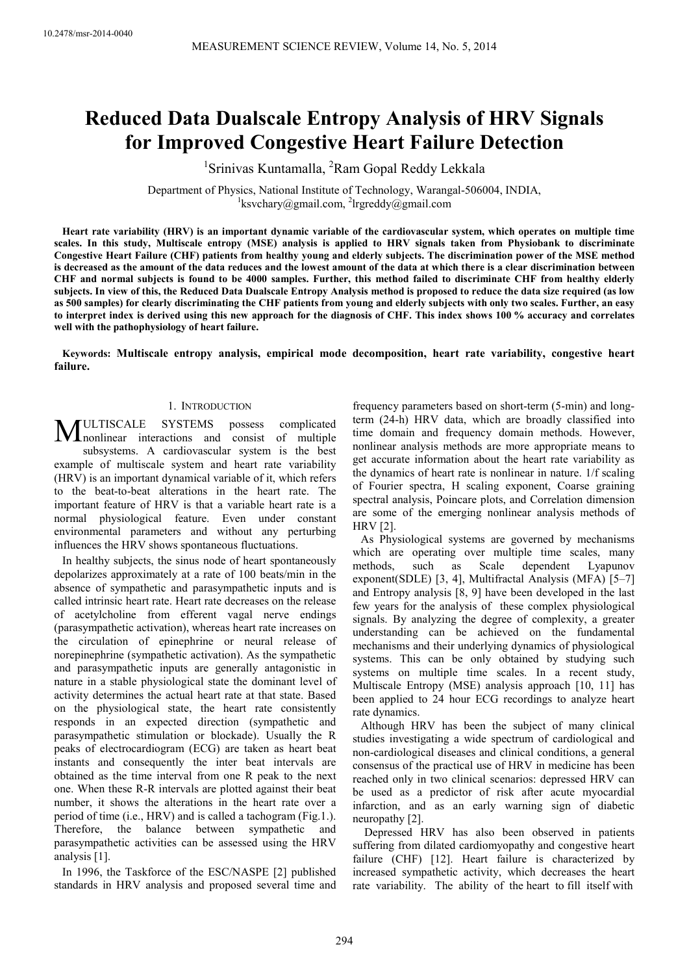# **Reduced Data Dualscale Entropy Analysis of HRV Signals for Improved Congestive Heart Failure Detection**

<sup>1</sup>Srinivas Kuntamalla, <sup>2</sup>Ram Gopal Reddy Lekkala

Department of Physics, National Institute of Technology, Warangal-506004, INDIA, <sup>1</sup>ksvchary@gmail.com, <sup>2</sup>lrgreddy@gmail.com

**Heart rate variability (HRV) is an important dynamic variable of the cardiovascular system, which operates on multiple time scales. In this study, Multiscale entropy (MSE) analysis is applied to HRV signals taken from Physiobank to discriminate Congestive Heart Failure (CHF) patients from healthy young and elderly subjects. The discrimination power of the MSE method is decreased as the amount of the data reduces and the lowest amount of the data at which there is a clear discrimination between CHF and normal subjects is found to be 4000 samples. Further, this method failed to discriminate CHF from healthy elderly subjects. In view of this, the Reduced Data Dualscale Entropy Analysis method is proposed to reduce the data size required (as low as 500 samples) for clearly discriminating the CHF patients from young and elderly subjects with only two scales. Further, an easy to interpret index is derived using this new approach for the diagnosis of CHF. This index shows 100 % accuracy and correlates well with the pathophysiology of heart failure.**

**Keywords: Multiscale entropy analysis, empirical mode decomposition, heart rate variability, congestive heart failure.**

## 1. INTRODUCTION

ULTISCALE SYSTEMS possess complicated MULTISCALE SYSTEMS possess complicated<br>
monlinear interactions and consist of multiple subsystems. A cardiovascular system is the best example of multiscale system and heart rate variability (HRV) is an important dynamical variable of it, which refers to the beat-to-beat alterations in the heart rate. The important feature of HRV is that a variable heart rate is a normal physiological feature. Even under constant environmental parameters and without any perturbing influences the HRV shows spontaneous fluctuations.

In healthy subjects, the sinus node of heart spontaneously depolarizes approximately at a rate of 100 beats/min in the absence of sympathetic and parasympathetic inputs and is called intrinsic heart rate. Heart rate decreases on the release of acetylcholine from efferent vagal nerve endings (parasympathetic activation), whereas heart rate increases on the circulation of epinephrine or neural release of norepinephrine (sympathetic activation). As the sympathetic and parasympathetic inputs are generally antagonistic in nature in a stable physiological state the dominant level of activity determines the actual heart rate at that state. Based on the physiological state, the heart rate consistently responds in an expected direction (sympathetic and parasympathetic stimulation or blockade). Usually the R peaks of electrocardiogram (ECG) are taken as heart beat instants and consequently the inter beat intervals are obtained as the time interval from one R peak to the next one. When these R-R intervals are plotted against their beat number, it shows the alterations in the heart rate over a period of time (i.e., HRV) and is called a tachogram (Fig.1.). Therefore, the balance between sympathetic and parasympathetic activities can be assessed using the HRV analysis [1].

In 1996, the Taskforce of the ESC/NASPE [2] published standards in HRV analysis and proposed several time and

frequency parameters based on short-term (5-min) and longterm (24-h) HRV data, which are broadly classified into time domain and frequency domain methods. However, nonlinear analysis methods are more appropriate means to get accurate information about the heart rate variability as the dynamics of heart rate is nonlinear in nature. 1/f scaling of Fourier spectra, H scaling exponent, Coarse graining spectral analysis, Poincare plots, and Correlation dimension are some of the emerging nonlinear analysis methods of HRV [2].

As Physiological systems are governed by mechanisms which are operating over multiple time scales, many methods, such as Scale dependent Lyapunov exponent(SDLE) [3, 4], Multifractal Analysis (MFA) [5–7] and Entropy analysis [8, 9] have been developed in the last few years for the analysis of these complex physiological signals. By analyzing the degree of complexity, a greater understanding can be achieved on the fundamental mechanisms and their underlying dynamics of physiological systems. This can be only obtained by studying such systems on multiple time scales. In a recent study, Multiscale Entropy (MSE) analysis approach [10, 11] has been applied to 24 hour ECG recordings to analyze heart rate dynamics.

Although HRV has been the subject of many clinical studies investigating a wide spectrum of cardiological and non-cardiological diseases and clinical conditions, a general consensus of the practical use of HRV in medicine has been reached only in two clinical scenarios: depressed HRV can be used as a predictor of risk after acute myocardial infarction, and as an early warning sign of diabetic neuropathy [2].

Depressed HRV has also been observed in patients suffering from dilated cardiomyopathy and congestive heart failure (CHF) [12]. Heart failure is characterized by increased sympathetic activity, which decreases the heart rate variability. The ability of the heart to fill itself with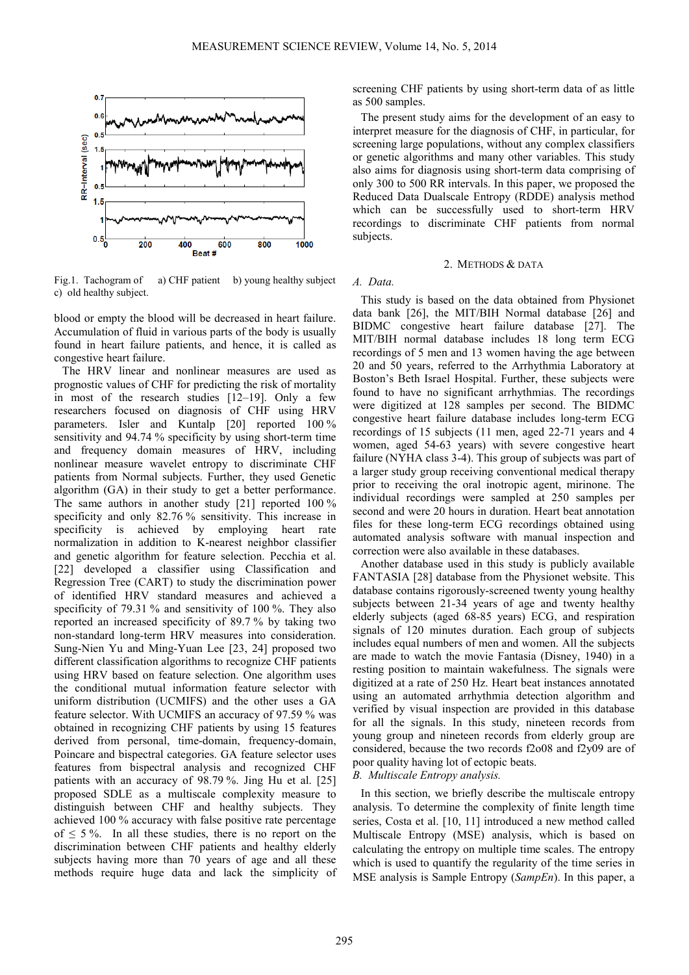

Fig.1. Tachogram of a) CHF patient b) young healthy subject c) old healthy subject.

blood or empty the blood will be decreased in heart failure. Accumulation of fluid in various parts of the body is usually found in heart failure patients, and hence, it is called as congestive heart failure.

The HRV linear and nonlinear measures are used as prognostic values of CHF for predicting the risk of mortality in most of the research studies [12–19]. Only a few researchers focused on diagnosis of CHF using HRV parameters. Isler and Kuntalp [20] reported 100 % sensitivity and 94.74 % specificity by using short-term time and frequency domain measures of HRV, including nonlinear measure wavelet entropy to discriminate CHF patients from Normal subjects. Further, they used Genetic algorithm (GA) in their study to get a better performance. The same authors in another study [21] reported 100 % specificity and only 82.76 % sensitivity. This increase in specificity is achieved by employing heart rate normalization in addition to K-nearest neighbor classifier and genetic algorithm for feature selection. Pecchia et al. [22] developed a classifier using Classification and Regression Tree (CART) to study the discrimination power of identified HRV standard measures and achieved a specificity of 79.31 % and sensitivity of 100 %. They also reported an increased specificity of 89.7 % by taking two non-standard long-term HRV measures into consideration. Sung-Nien Yu and Ming-Yuan Lee [23, 24] proposed two different classification algorithms to recognize CHF patients using HRV based on feature selection. One algorithm uses the conditional mutual information feature selector with uniform distribution (UCMIFS) and the other uses a GA feature selector. With UCMIFS an accuracy of 97.59 % was obtained in recognizing CHF patients by using 15 features derived from personal, time-domain, frequency-domain, Poincare and bispectral categories. GA feature selector uses features from bispectral analysis and recognized CHF patients with an accuracy of 98.79 %. Jing Hu et al. [25] proposed SDLE as a multiscale complexity measure to distinguish between CHF and healthy subjects. They achieved 100 % accuracy with false positive rate percentage of  $\leq$  5 %. In all these studies, there is no report on the discrimination between CHF patients and healthy elderly subjects having more than 70 years of age and all these methods require huge data and lack the simplicity of screening CHF patients by using short-term data of as little as 500 samples.

The present study aims for the development of an easy to interpret measure for the diagnosis of CHF, in particular, for screening large populations, without any complex classifiers or genetic algorithms and many other variables. This study also aims for diagnosis using short-term data comprising of only 300 to 500 RR intervals. In this paper, we proposed the Reduced Data Dualscale Entropy (RDDE) analysis method which can be successfully used to short-term HRV recordings to discriminate CHF patients from normal subjects.

## 2. METHODS & DATA

# *A. Data.*

This study is based on the data obtained from Physionet data bank [26], the MIT/BIH Normal database [26] and BIDMC congestive heart failure database [27]. The MIT/BIH normal database includes 18 long term ECG recordings of 5 men and 13 women having the age between 20 and 50 years, referred to the Arrhythmia Laboratory at Boston's Beth Israel Hospital. Further, these subjects were found to have no significant arrhythmias. The recordings were digitized at 128 samples per second. The BIDMC congestive heart failure database includes long-term ECG recordings of 15 subjects (11 men, aged 22-71 years and 4 women, aged 54-63 years) with severe congestive heart failure (NYHA class 3-4). This group of subjects was part of a larger study group receiving conventional medical therapy prior to receiving the oral inotropic agent, mirinone. The individual recordings were sampled at 250 samples per second and were 20 hours in duration. Heart beat annotation files for these long-term ECG recordings obtained using automated analysis software with manual inspection and correction were also available in these databases.

Another database used in this study is publicly available FANTASIA [28] database from the Physionet website. This database contains rigorously-screened twenty young healthy subjects between 21-34 years of age and twenty healthy elderly subjects (aged 68-85 years) ECG, and respiration signals of 120 minutes duration. Each group of subjects includes equal numbers of men and women. All the subjects are made to watch the movie Fantasia (Disney, 1940) in a resting position to maintain wakefulness. The signals were digitized at a rate of 250 Hz. Heart beat instances annotated using an automated arrhythmia detection algorithm and verified by visual inspection are provided in this database for all the signals. In this study, nineteen records from young group and nineteen records from elderly group are considered, because the two records f2o08 and f2y09 are of poor quality having lot of ectopic beats.

*B. Multiscale Entropy analysis.* 

In this section, we briefly describe the multiscale entropy analysis. To determine the complexity of finite length time series, Costa et al. [10, 11] introduced a new method called Multiscale Entropy (MSE) analysis, which is based on calculating the entropy on multiple time scales. The entropy which is used to quantify the regularity of the time series in MSE analysis is Sample Entropy (*SampEn*). In this paper, a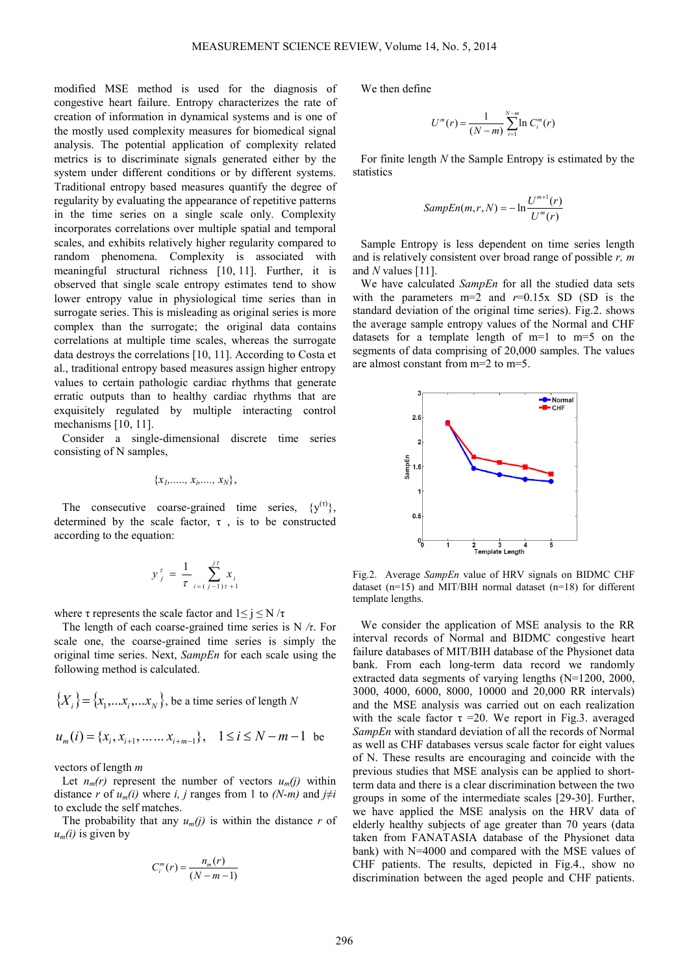modified MSE method is used for the diagnosis of congestive heart failure. Entropy characterizes the rate of creation of information in dynamical systems and is one of the mostly used complexity measures for biomedical signal analysis. The potential application of complexity related metrics is to discriminate signals generated either by the system under different conditions or by different systems. Traditional entropy based measures quantify the degree of regularity by evaluating the appearance of repetitive patterns in the time series on a single scale only. Complexity incorporates correlations over multiple spatial and temporal scales, and exhibits relatively higher regularity compared to random phenomena. Complexity is associated with meaningful structural richness [10, 11]. Further, it is observed that single scale entropy estimates tend to show lower entropy value in physiological time series than in surrogate series. This is misleading as original series is more complex than the surrogate; the original data contains correlations at multiple time scales, whereas the surrogate data destroys the correlations [10, 11]. According to Costa et al., traditional entropy based measures assign higher entropy values to certain pathologic cardiac rhythms that generate erratic outputs than to healthy cardiac rhythms that are exquisitely regulated by multiple interacting control mechanisms [10, 11].

Consider a single-dimensional discrete time series consisting of N samples,

$$
\{x_1, \ldots, x_b, \ldots, x_N\},\
$$

The consecutive coarse-grained time series,  $\{y^{(\tau)}\}$ , determined by the scale factor,  $\tau$ , is to be constructed according to the equation:

$$
y_j^{\tau} = \frac{1}{\tau} \sum_{i = (j-1)\tau + 1}^{j\tau} x_i
$$

where  $\tau$  represents the scale factor and  $1 \le j \le N/\tau$ 

The length of each coarse-grained time series is N */τ*. For scale one, the coarse-grained time series is simply the original time series. Next, *SampEn* for each scale using the following method is calculated.

$$
\{X_i\} = \{x_1, \dots, x_i, \dots, x_N\}, \text{ be a time series of length } N
$$
  

$$
u_m(i) = \{x_i, x_{i+1}, \dots, x_{i+m-1}\}, \quad 1 \le i \le N-m-1 \text{ be}
$$

vectors of length *m*

Let  $n_m(r)$  represent the number of vectors  $u_m(j)$  within distance *r* of  $u_m(i)$  where *i, j* ranges from 1 to *(N-m)* and  $j \neq i$ to exclude the self matches.

The probability that any  $u_m(i)$  is within the distance r of  $u_m(i)$  is given by

$$
C_i^m(r) = \frac{n_m(r)}{(N-m-1)}
$$

We then define

$$
U^{m}(r) = \frac{1}{(N-m)} \sum_{i=1}^{N-m} \ln C_{i}^{m}(r)
$$

For finite length *N* the Sample Entropy is estimated by the statistics

$$
SampEn(m,r,N) = -\ln \frac{U^{m+1}(r)}{U^m(r)}
$$

Sample Entropy is less dependent on time series length and is relatively consistent over broad range of possible *r, m*  and *N* values [11].

We have calculated *SampEn* for all the studied data sets with the parameters  $m=2$  and  $r=0.15x$  SD (SD is the standard deviation of the original time series). Fig.2. shows the average sample entropy values of the Normal and CHF datasets for a template length of  $m=1$  to  $m=5$  on the segments of data comprising of 20,000 samples. The values are almost constant from m=2 to m=5.



Fig.2. Average *SampEn* value of HRV signals on BIDMC CHF dataset (n=15) and MIT/BIH normal dataset (n=18) for different template lengths.

We consider the application of MSE analysis to the RR interval records of Normal and BIDMC congestive heart failure databases of MIT/BIH database of the Physionet data bank. From each long-term data record we randomly extracted data segments of varying lengths (N=1200, 2000, 3000, 4000, 6000, 8000, 10000 and 20,000 RR intervals) and the MSE analysis was carried out on each realization with the scale factor  $\tau = 20$ . We report in Fig.3. averaged *SampEn* with standard deviation of all the records of Normal as well as CHF databases versus scale factor for eight values of N. These results are encouraging and coincide with the previous studies that MSE analysis can be applied to shortterm data and there is a clear discrimination between the two groups in some of the intermediate scales [29-30]. Further, we have applied the MSE analysis on the HRV data of elderly healthy subjects of age greater than 70 years (data taken from FANATASIA database of the Physionet data bank) with N=4000 and compared with the MSE values of CHF patients. The results, depicted in Fig.4., show no discrimination between the aged people and CHF patients.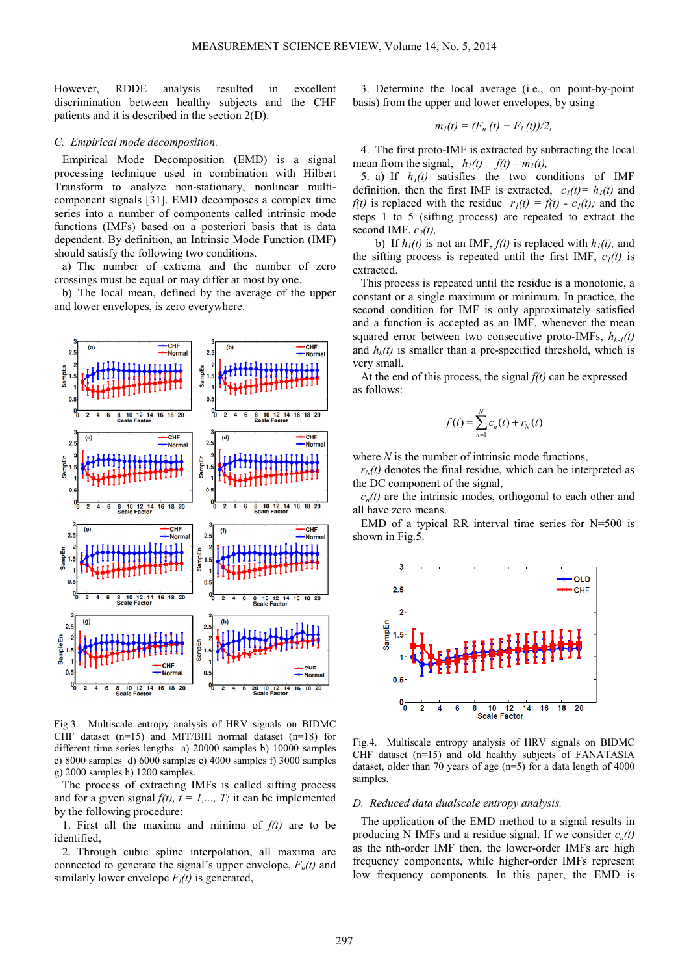However, RDDE analysis resulted in excellent discrimination between healthy subjects and the CHF patients and it is described in the section 2(D).

### *C. Empirical mode decomposition.*

Empirical Mode Decomposition (EMD) is a signal processing technique used in combination with Hilbert Transform to analyze non-stationary, nonlinear multicomponent signals [31]. EMD decomposes a complex time series into a number of components called intrinsic mode functions (IMFs) based on a posteriori basis that is data dependent. By definition, an Intrinsic Mode Function (IMF) should satisfy the following two conditions.

a) The number of extrema and the number of zero crossings must be equal or may differ at most by one.

b) The local mean, defined by the average of the upper and lower envelopes, is zero everywhere.



Fig.3. Multiscale entropy analysis of HRV signals on BIDMC CHF dataset (n=15) and MIT/BIH normal dataset (n=18) for different time series lengths a) 20000 samples b) 10000 samples c) 8000 samples d) 6000 samples e) 4000 samples f) 3000 samples g) 2000 samples h) 1200 samples.

The process of extracting IMFs is called sifting process and for a given signal  $f(t)$ ,  $t = 1,..., T$ ; it can be implemented by the following procedure:

1. First all the maxima and minima of  $f(t)$  are to be identified,

2. Through cubic spline interpolation, all maxima are connected to generate the signal's upper envelope,  $F<sub>u</sub>(t)$  and similarly lower envelope  $F_l(t)$  is generated,

3. Determine the local average (i.e., on point-by-point basis) from the upper and lower envelopes, by using

$$
m_{I}(t) = (F_{u}(t) + F_{I}(t))/2,
$$

4. The first proto-IMF is extracted by subtracting the local mean from the signal,  $h_1(t) = f(t) - m_1(t)$ ,

5. a) If  $h_1(t)$  satisfies the two conditions of IMF definition, then the first IMF is extracted,  $c_1(t) = h_1(t)$  and *f(t)* is replaced with the residue  $r_1(t) = f(t) - c_1(t)$ ; and the steps 1 to 5 (sifting process) are repeated to extract the second IMF, *c2(t),* 

b) If  $h_1(t)$  is not an IMF,  $f(t)$  is replaced with  $h_1(t)$ , and the sifting process is repeated until the first IMF,  $c_1(t)$  is extracted.

This process is repeated until the residue is a monotonic, a constant or a single maximum or minimum. In practice, the second condition for IMF is only approximately satisfied and a function is accepted as an IMF, whenever the mean squared error between two consecutive proto-IMFs, *hk-1(t)* and  $h_k(t)$  is smaller than a pre-specified threshold, which is very small.

At the end of this process, the signal *f(t)* can be expressed as follows:

$$
f(t) = \sum_{n=1}^{N} c_n(t) + r_N(t)
$$

where *N* is the number of intrinsic mode functions,

 $r_N(t)$  denotes the final residue, which can be interpreted as the DC component of the signal,

 $c_n(t)$  are the intrinsic modes, orthogonal to each other and all have zero means.

EMD of a typical RR interval time series for  $N=500$  is shown in Fig.5.



Fig.4. Multiscale entropy analysis of HRV signals on BIDMC CHF dataset (n=15) and old healthy subjects of FANATASIA dataset, older than 70 years of age (n=5) for a data length of 4000 samples.

# *D. Reduced data dualscale entropy analysis.*

The application of the EMD method to a signal results in producing N IMFs and a residue signal. If we consider  $c_n(t)$ as the nth-order IMF then, the lower-order IMFs are high frequency components, while higher-order IMFs represent low frequency components. In this paper, the EMD is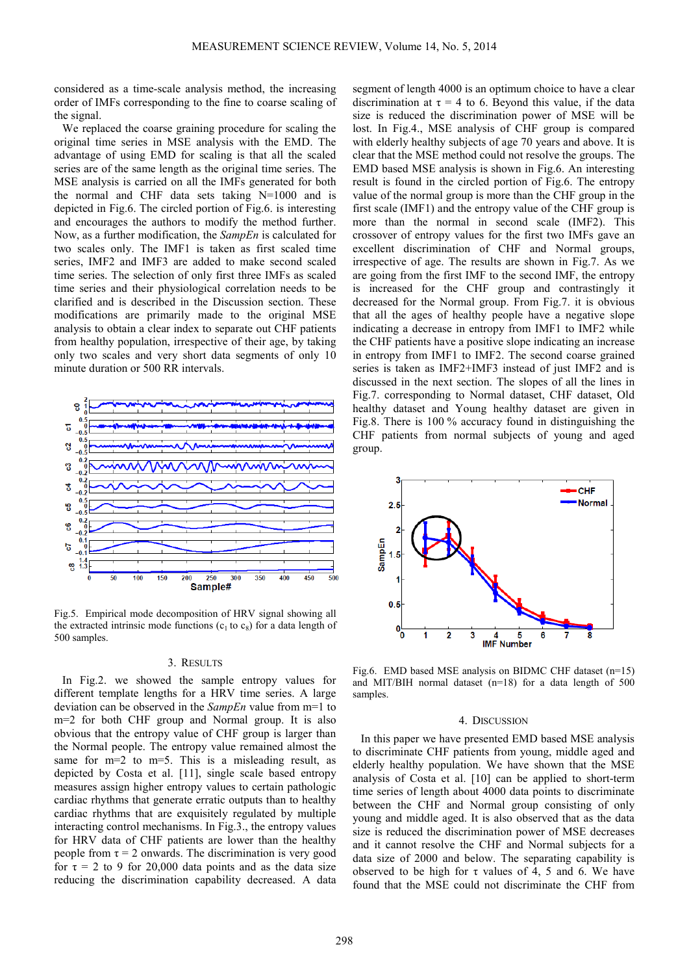considered as a time-scale analysis method, the increasing order of IMFs corresponding to the fine to coarse scaling of the signal.

We replaced the coarse graining procedure for scaling the original time series in MSE analysis with the EMD. The advantage of using EMD for scaling is that all the scaled series are of the same length as the original time series. The MSE analysis is carried on all the IMFs generated for both the normal and CHF data sets taking N=1000 and is depicted in Fig.6. The circled portion of Fig.6. is interesting and encourages the authors to modify the method further. Now, as a further modification, the *SampEn* is calculated for two scales only. The IMF1 is taken as first scaled time series, IMF2 and IMF3 are added to make second scaled time series. The selection of only first three IMFs as scaled time series and their physiological correlation needs to be clarified and is described in the Discussion section. These modifications are primarily made to the original MSE analysis to obtain a clear index to separate out CHF patients from healthy population, irrespective of their age, by taking only two scales and very short data segments of only 10 minute duration or 500 RR intervals.



Fig.5. Empirical mode decomposition of HRV signal showing all the extracted intrinsic mode functions  $(c_1 \text{ to } c_8)$  for a data length of 500 samples.

#### 3. RESULTS

In Fig.2. we showed the sample entropy values for different template lengths for a HRV time series. A large deviation can be observed in the *SampEn* value from m=1 to m=2 for both CHF group and Normal group. It is also obvious that the entropy value of CHF group is larger than the Normal people. The entropy value remained almost the same for m=2 to m=5. This is a misleading result, as depicted by Costa et al. [11], single scale based entropy measures assign higher entropy values to certain pathologic cardiac rhythms that generate erratic outputs than to healthy cardiac rhythms that are exquisitely regulated by multiple interacting control mechanisms. In Fig.3., the entropy values for HRV data of CHF patients are lower than the healthy people from  $\tau = 2$  onwards. The discrimination is very good for  $\tau = 2$  to 9 for 20,000 data points and as the data size reducing the discrimination capability decreased. A data segment of length 4000 is an optimum choice to have a clear discrimination at  $\tau = 4$  to 6. Beyond this value, if the data size is reduced the discrimination power of MSE will be lost. In Fig.4., MSE analysis of CHF group is compared with elderly healthy subjects of age 70 years and above. It is clear that the MSE method could not resolve the groups. The EMD based MSE analysis is shown in Fig.6. An interesting result is found in the circled portion of Fig.6. The entropy value of the normal group is more than the CHF group in the first scale (IMF1) and the entropy value of the CHF group is more than the normal in second scale (IMF2). This crossover of entropy values for the first two IMFs gave an excellent discrimination of CHF and Normal groups, irrespective of age. The results are shown in Fig.7. As we are going from the first IMF to the second IMF, the entropy is increased for the CHF group and contrastingly it decreased for the Normal group. From Fig.7. it is obvious that all the ages of healthy people have a negative slope indicating a decrease in entropy from IMF1 to IMF2 while the CHF patients have a positive slope indicating an increase in entropy from IMF1 to IMF2. The second coarse grained series is taken as IMF2+IMF3 instead of just IMF2 and is discussed in the next section. The slopes of all the lines in Fig.7. corresponding to Normal dataset, CHF dataset, Old healthy dataset and Young healthy dataset are given in Fig.8. There is 100 % accuracy found in distinguishing the CHF patients from normal subjects of young and aged group.



Fig.6. EMD based MSE analysis on BIDMC CHF dataset (n=15) and MIT/BIH normal dataset  $(n=18)$  for a data length of 500 samples.

#### 4. DISCUSSION

In this paper we have presented EMD based MSE analysis to discriminate CHF patients from young, middle aged and elderly healthy population. We have shown that the MSE analysis of Costa et al. [10] can be applied to short-term time series of length about 4000 data points to discriminate between the CHF and Normal group consisting of only young and middle aged. It is also observed that as the data size is reduced the discrimination power of MSE decreases and it cannot resolve the CHF and Normal subjects for a data size of 2000 and below. The separating capability is observed to be high for  $\tau$  values of 4, 5 and 6. We have found that the MSE could not discriminate the CHF from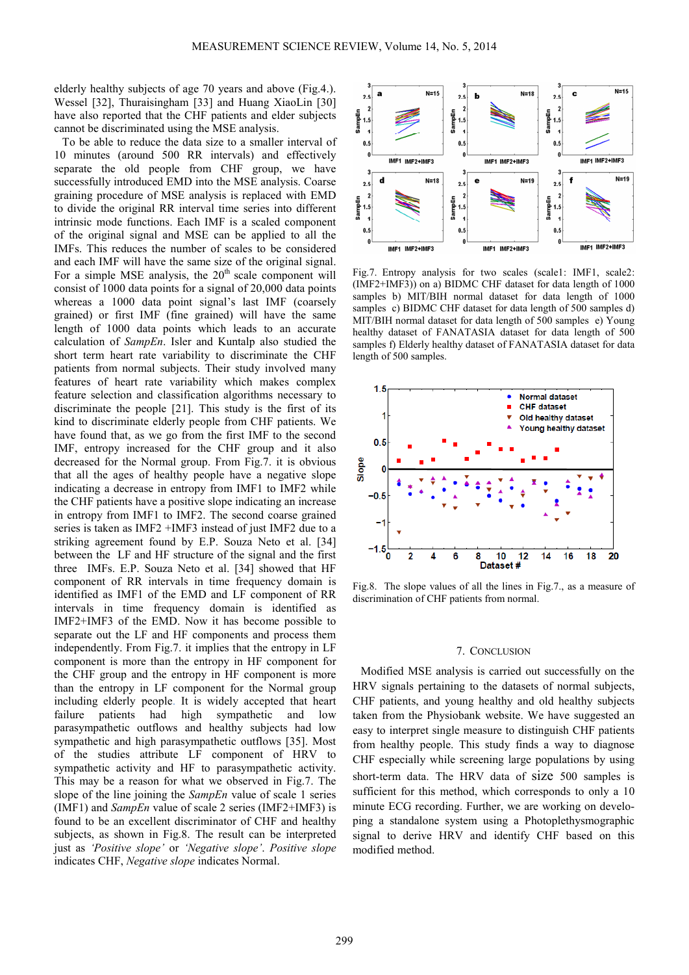elderly healthy subjects of age 70 years and above (Fig.4.). Wessel [32], Thuraisingham [33] and Huang XiaoLin [30] have also reported that the CHF patients and elder subjects cannot be discriminated using the MSE analysis.

To be able to reduce the data size to a smaller interval of 10 minutes (around 500 RR intervals) and effectively separate the old people from CHF group, we have successfully introduced EMD into the MSE analysis. Coarse graining procedure of MSE analysis is replaced with EMD to divide the original RR interval time series into different intrinsic mode functions. Each IMF is a scaled component of the original signal and MSE can be applied to all the IMFs. This reduces the number of scales to be considered and each IMF will have the same size of the original signal. For a simple MSE analysis, the  $20<sup>th</sup>$  scale component will consist of 1000 data points for a signal of 20,000 data points whereas a 1000 data point signal's last IMF (coarsely grained) or first IMF (fine grained) will have the same length of 1000 data points which leads to an accurate calculation of *SampEn*. Isler and Kuntalp also studied the short term heart rate variability to discriminate the CHF patients from normal subjects. Their study involved many features of heart rate variability which makes complex feature selection and classification algorithms necessary to discriminate the people [21]. This study is the first of its kind to discriminate elderly people from CHF patients. We have found that, as we go from the first IMF to the second IMF, entropy increased for the CHF group and it also decreased for the Normal group. From Fig.7. it is obvious that all the ages of healthy people have a negative slope indicating a decrease in entropy from IMF1 to IMF2 while the CHF patients have a positive slope indicating an increase in entropy from IMF1 to IMF2. The second coarse grained series is taken as IMF2 +IMF3 instead of just IMF2 due to a striking agreement found by E.P. Souza Neto et al. [34] between the LF and HF structure of the signal and the first three IMFs. E.P. Souza Neto et al. [34] showed that HF component of RR intervals in time frequency domain is identified as IMF1 of the EMD and LF component of RR intervals in time frequency domain is identified as IMF2+IMF3 of the EMD. Now it has become possible to separate out the LF and HF components and process them independently. From Fig.7. it implies that the entropy in LF component is more than the entropy in HF component for the CHF group and the entropy in HF component is more than the entropy in LF component for the Normal group including elderly people. It is widely accepted that heart failure patients had high sympathetic and low parasympathetic outflows and healthy subjects had low sympathetic and high parasympathetic outflows [35]. Most of the studies attribute LF component of HRV to sympathetic activity and HF to parasympathetic activity. This may be a reason for what we observed in Fig.7. The slope of the line joining the *SampEn* value of scale 1 series (IMF1) and *SampEn* value of scale 2 series (IMF2+IMF3) is found to be an excellent discriminator of CHF and healthy subjects, as shown in Fig.8. The result can be interpreted just as *'Positive slope'* or *'Negative slope'*. *Positive slope* indicates CHF, *Negative slope* indicates Normal.



Fig.7. Entropy analysis for two scales (scale1: IMF1, scale2: (IMF2+IMF3)) on a) BIDMC CHF dataset for data length of 1000 samples b) MIT/BIH normal dataset for data length of 1000 samples c) BIDMC CHF dataset for data length of 500 samples d) MIT/BIH normal dataset for data length of 500 samples e) Young healthy dataset of FANATASIA dataset for data length of 500 samples f) Elderly healthy dataset of FANATASIA dataset for data length of 500 samples.



Fig.8. The slope values of all the lines in Fig.7., as a measure of discrimination of CHF patients from normal.

# 7. CONCLUSION

Modified MSE analysis is carried out successfully on the HRV signals pertaining to the datasets of normal subjects, CHF patients, and young healthy and old healthy subjects taken from the Physiobank website. We have suggested an easy to interpret single measure to distinguish CHF patients from healthy people. This study finds a way to diagnose CHF especially while screening large populations by using short-term data. The HRV data of size 500 samples is sufficient for this method, which corresponds to only a 10 minute ECG recording. Further, we are working on developing a standalone system using a Photoplethysmographic signal to derive HRV and identify CHF based on this modified method.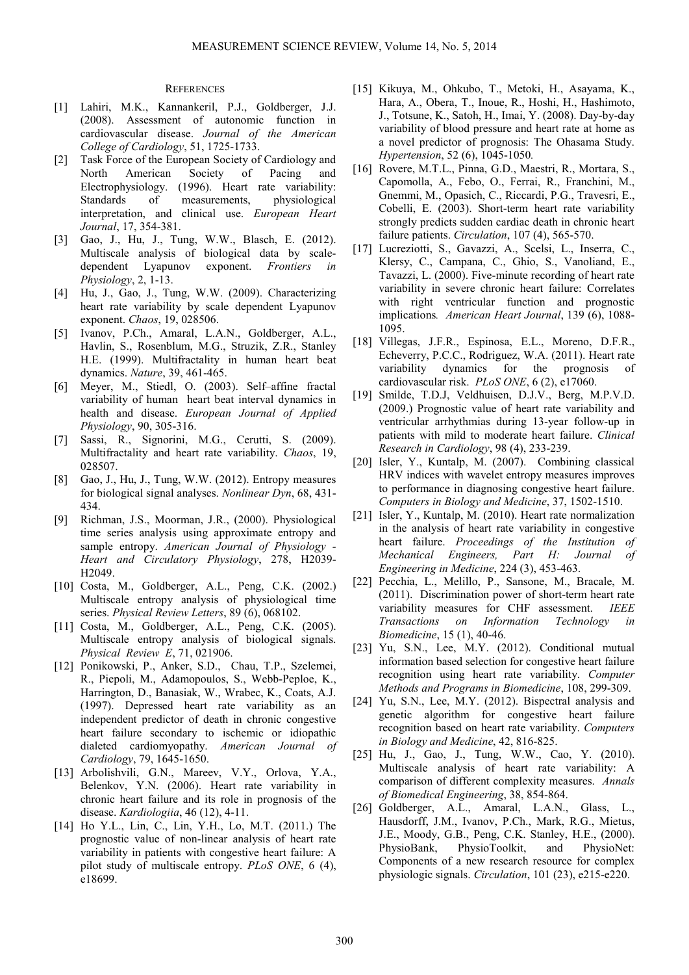# **REFERENCES**

- [1] Lahiri, M.K., Kannankeril, P.J., Goldberger, J.J. (2008). Assessment of autonomic function in cardiovascular disease. *Journal of the American College of Cardiology*, 51, 1725-1733.
- [2] Task Force of the European Society of Cardiology and North American Society of Pacing and Electrophysiology. (1996). Heart rate variability: Standards of measurements, physiological interpretation, and clinical use. *European Heart Journal*, 17, 354-381.
- [3] Gao, J., Hu, J., Tung, W.W., Blasch, E. (2012). Multiscale analysis of biological data by scaledependent Lyapunov exponent. *Frontiers in Physiology*, 2, 1-13.
- [4] Hu, J., Gao, J., Tung, W.W. (2009). Characterizing heart rate variability by scale dependent Lyapunov exponent. *Chaos*, 19, 028506.
- [5] Ivanov, P.Ch., Amaral, L.A.N., Goldberger, A.L., Havlin, S., Rosenblum, M.G., Struzik, Z.R., Stanley H.E. (1999). Multifractality in human heart beat dynamics. *Nature*, 39, 461-465.
- [6] Meyer, M., Stiedl, O. (2003). Self–affine fractal variability of human heart beat interval dynamics in health and disease. *European Journal of Applied Physiology*, 90, 305-316.
- [7] Sassi, R., Signorini, M.G., Cerutti, S. (2009). Multifractality and heart rate variability. *Chaos*, 19, 028507.
- [8] Gao, J., Hu, J., Tung, W.W. (2012). Entropy measures for biological signal analyses. *Nonlinear Dyn*, 68, 431- 434.
- [9] Richman, J.S., Moorman, J.R., (2000). Physiological time series analysis using approximate entropy and sample entropy. *American Journal of Physiology - Heart and Circulatory Physiology*, 278, H2039- H2049.
- [10] Costa, M., Goldberger, A.L., Peng, C.K. (2002.) Multiscale entropy analysis of physiological time series. *Physical Review Letters*, 89 (6), 068102.
- [11] Costa, M., Goldberger, A.L., Peng, C.K. (2005). Multiscale entropy analysis of biological signals. *Physical Review E*, 71, 021906.
- [12] Ponikowski, P., Anker, S.D., Chau, T.P., Szelemei, R., Piepoli, M., Adamopoulos, S., Webb-Peploe, K., Harrington, D., Banasiak, W., Wrabec, K., Coats, A.J. (1997). Depressed heart rate variability as an independent predictor of death in chronic congestive heart failure secondary to ischemic or idiopathic dialeted cardiomyopathy. *American Journal of Cardiology*, 79, 1645-1650.
- [13] Arbolishvili, G.N., Mareev, V.Y., Orlova, Y.A., Belenkov, Y.N. (2006). Heart rate variability in chronic heart failure and its role in prognosis of the disease. *Kardiologiia*, 46 (12), 4-11.
- [14] Ho Y.L., Lin, C., Lin, Y.H., Lo, M.T. (2011.) The prognostic value of non-linear analysis of heart rate variability in patients with congestive heart failure: A pilot study of multiscale entropy. *PLoS ONE*, 6 (4), e18699.
- [15] Kikuya, M., Ohkubo, T., Metoki, H., Asayama, K., Hara, A., Obera, T., Inoue, R., Hoshi, H., Hashimoto, J., Totsune, K., Satoh, H., Imai, Y. (2008). Day-by-day variability of blood pressure and heart rate at home as a novel predictor of prognosis: The Ohasama Study. *Hypertension*, 52 (6), 1045-1050*.*
- [16] Rovere, M.T.L., Pinna, G.D., Maestri, R., Mortara, S., Capomolla, A., Febo, O., Ferrai, R., Franchini, M., Gnemmi, M., Opasich, C., Riccardi, P.G., Travesri, E., Cobelli, E. (2003). Short-term heart rate variability strongly predicts sudden cardiac death in chronic heart failure patients. *Circulation*, 107 (4), 565-570.
- [17] Lucreziotti, S., Gavazzi, A., Scelsi, L., Inserra, C., Klersy, C., Campana, C., Ghio, S., Vanoliand, E., Tavazzi, L. (2000). Five-minute recording of heart rate variability in severe chronic heart failure: Correlates with right ventricular function and prognostic implications*. American Heart Journal*, 139 (6), 1088- 1095.
- [18] Villegas, J.F.R., Espinosa, E.L., Moreno, D.F.R., Echeverry, P.C.C., Rodriguez, W.A. (2011). Heart rate variability dynamics for the prognosis of cardiovascular risk. *PLoS ONE*, 6 (2), e17060.
- [19] Smilde, T.D.J, Veldhuisen, D.J.V., Berg, M.P.V.D. (2009.) Prognostic value of heart rate variability and ventricular arrhythmias during 13-year follow-up in patients with mild to moderate heart failure. *Clinical Research in Cardiology*, 98 (4), 233-239.
- [20] Isler, Y., Kuntalp, M. (2007). Combining classical HRV indices with wavelet entropy measures improves to performance in diagnosing congestive heart failure. *Computers in Biology and Medicine*, 37, 1502-1510.
- [21] Isler, Y., Kuntalp, M. (2010). Heart rate normalization in the analysis of heart rate variability in congestive heart failure. *Proceedings of the Institution of Mechanical Engineers, Part H: Journal of Engineering in Medicine*, 224 (3), 453-463.
- [22] Pecchia, L., Melillo, P., Sansone, M., Bracale, M. (2011). Discrimination power of short-term heart rate variability measures for CHF assessment. *IEEE Transactions on Information Technology in Biomedicine*, 15 (1), 40-46.
- [23] Yu, S.N., Lee, M.Y. (2012). Conditional mutual information based selection for congestive heart failure recognition using heart rate variability. *Computer Methods and Programs in Biomedicine*, 108, 299-309.
- [24] Yu, S.N., Lee, M.Y. (2012). Bispectral analysis and genetic algorithm for congestive heart failure recognition based on heart rate variability. *Computers in Biology and Medicine*, 42, 816-825.
- [25] Hu, J., Gao, J., Tung, W.W., Cao, Y. (2010). Multiscale analysis of heart rate variability: A comparison of different complexity measures. *Annals of Biomedical Engineering*, 38, 854-864.
- [26] Goldberger, A.L., Amaral, L.A.N., Glass, L., Hausdorff, J.M., Ivanov, P.Ch., Mark, R.G., Mietus, J.E., Moody, G.B., Peng, C.K. Stanley, H.E., (2000). PhysioBank, PhysioToolkit, and PhysioNet: Components of a new research resource for complex physiologic signals. *Circulation*, 101 (23), e215-e220.